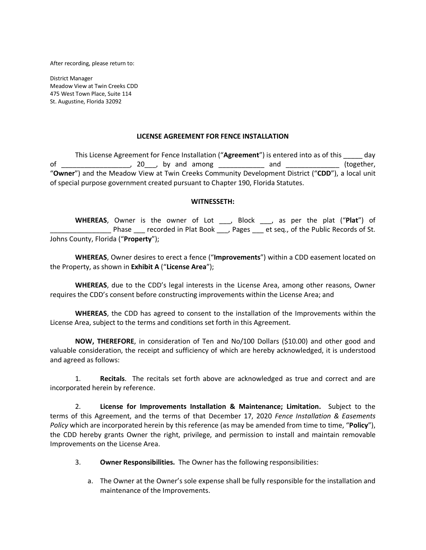After recording, please return to:

District Manager Meadow View at Twin Creeks CDD 475 West Town Place, Suite 114 St. Augustine, Florida 32092

## **LICENSE AGREEMENT FOR FENCE INSTALLATION**

This License Agreement for Fence Installation ("**Agreement**") is entered into as of this \_\_\_\_\_ day of \_\_\_\_\_\_\_\_\_\_\_\_\_\_\_\_\_\_\_, 20\_\_\_, by and among \_\_\_\_\_\_\_\_\_\_\_\_\_ and \_\_\_\_\_\_\_\_\_\_\_\_\_\_\_\_ (together, "**Owner**") and the Meadow View at Twin Creeks Community Development District ("**CDD**"), a local unit of special purpose government created pursuant to Chapter 190, Florida Statutes.

## **WITNESSETH:**

**WHEREAS**, Owner is the owner of Lot \_\_\_, Block \_\_\_, as per the plat ("**Plat**") of Phase recorded in Plat Book , Pages et seq., of the Public Records of St. Johns County, Florida ("**Property**");

**WHEREAS**, Owner desires to erect a fence ("**Improvements**") within a CDD easement located on the Property, as shown in **Exhibit A** ("**License Area**");

**WHEREAS**, due to the CDD's legal interests in the License Area, among other reasons, Owner requires the CDD's consent before constructing improvements within the License Area; and

**WHEREAS**, the CDD has agreed to consent to the installation of the Improvements within the License Area, subject to the terms and conditions set forth in this Agreement.

**NOW, THEREFORE**, in consideration of Ten and No/100 Dollars (\$10.00) and other good and valuable consideration, the receipt and sufficiency of which are hereby acknowledged, it is understood and agreed as follows:

1. **Recitals**. The recitals set forth above are acknowledged as true and correct and are incorporated herein by reference.

2. **License for Improvements Installation & Maintenance; Limitation.** Subject to the terms of this Agreement, and the terms of that December 17, 2020 *Fence Installation & Easements Policy* which are incorporated herein by this reference (as may be amended from time to time, "**Policy**"), the CDD hereby grants Owner the right, privilege, and permission to install and maintain removable Improvements on the License Area.

- 3. **Owner Responsibilities.** The Owner has the following responsibilities:
	- a. The Owner at the Owner's sole expense shall be fully responsible for the installation and maintenance of the Improvements.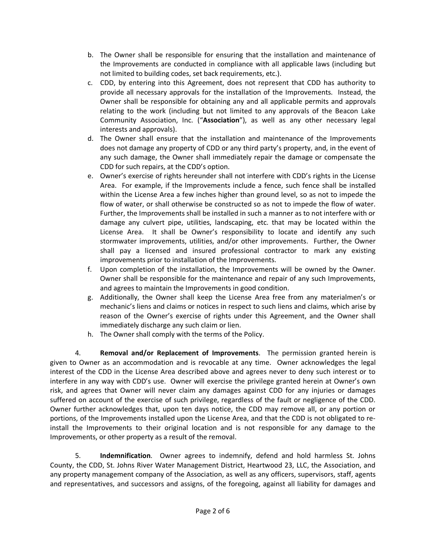- b. The Owner shall be responsible for ensuring that the installation and maintenance of the Improvements are conducted in compliance with all applicable laws (including but not limited to building codes, set back requirements, etc.).
- c. CDD, by entering into this Agreement, does not represent that CDD has authority to provide all necessary approvals for the installation of the Improvements. Instead, the Owner shall be responsible for obtaining any and all applicable permits and approvals relating to the work (including but not limited to any approvals of the Beacon Lake Community Association, Inc. ("**Association**"), as well as any other necessary legal interests and approvals).
- d. The Owner shall ensure that the installation and maintenance of the Improvements does not damage any property of CDD or any third party's property, and, in the event of any such damage, the Owner shall immediately repair the damage or compensate the CDD for such repairs, at the CDD's option.
- e. Owner's exercise of rights hereunder shall not interfere with CDD's rights in the License Area. For example, if the Improvements include a fence, such fence shall be installed within the License Area a few inches higher than ground level, so as not to impede the flow of water, or shall otherwise be constructed so as not to impede the flow of water. Further, the Improvements shall be installed in such a manner as to not interfere with or damage any culvert pipe, utilities, landscaping, etc. that may be located within the License Area. It shall be Owner's responsibility to locate and identify any such stormwater improvements, utilities, and/or other improvements. Further, the Owner shall pay a licensed and insured professional contractor to mark any existing improvements prior to installation of the Improvements.
- f. Upon completion of the installation, the Improvements will be owned by the Owner. Owner shall be responsible for the maintenance and repair of any such Improvements, and agrees to maintain the Improvements in good condition.
- g. Additionally, the Owner shall keep the License Area free from any materialmen's or mechanic's liens and claims or notices in respect to such liens and claims, which arise by reason of the Owner's exercise of rights under this Agreement, and the Owner shall immediately discharge any such claim or lien.
- h. The Owner shall comply with the terms of the Policy.

4. **Removal and/or Replacement of Improvements**. The permission granted herein is given to Owner as an accommodation and is revocable at any time. Owner acknowledges the legal interest of the CDD in the License Area described above and agrees never to deny such interest or to interfere in any way with CDD's use. Owner will exercise the privilege granted herein at Owner's own risk, and agrees that Owner will never claim any damages against CDD for any injuries or damages suffered on account of the exercise of such privilege, regardless of the fault or negligence of the CDD. Owner further acknowledges that, upon ten days notice, the CDD may remove all, or any portion or portions, of the Improvements installed upon the License Area, and that the CDD is not obligated to reinstall the Improvements to their original location and is not responsible for any damage to the Improvements, or other property as a result of the removal.

5. **Indemnification**. Owner agrees to indemnify, defend and hold harmless St. Johns County, the CDD, St. Johns River Water Management District, Heartwood 23, LLC, the Association, and any property management company of the Association, as well as any officers, supervisors, staff, agents and representatives, and successors and assigns, of the foregoing, against all liability for damages and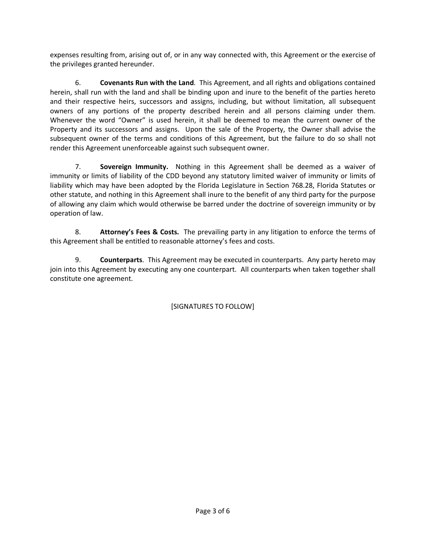expenses resulting from, arising out of, or in any way connected with, this Agreement or the exercise of the privileges granted hereunder.

6. **Covenants Run with the Land**. This Agreement, and all rights and obligations contained herein, shall run with the land and shall be binding upon and inure to the benefit of the parties hereto and their respective heirs, successors and assigns, including, but without limitation, all subsequent owners of any portions of the property described herein and all persons claiming under them. Whenever the word "Owner" is used herein, it shall be deemed to mean the current owner of the Property and its successors and assigns. Upon the sale of the Property, the Owner shall advise the subsequent owner of the terms and conditions of this Agreement, but the failure to do so shall not render this Agreement unenforceable against such subsequent owner.

7. **Sovereign Immunity.** Nothing in this Agreement shall be deemed as a waiver of immunity or limits of liability of the CDD beyond any statutory limited waiver of immunity or limits of liability which may have been adopted by the Florida Legislature in Section 768.28, Florida Statutes or other statute, and nothing in this Agreement shall inure to the benefit of any third party for the purpose of allowing any claim which would otherwise be barred under the doctrine of sovereign immunity or by operation of law.

8. **Attorney's Fees & Costs.** The prevailing party in any litigation to enforce the terms of this Agreement shall be entitled to reasonable attorney's fees and costs.

9. **Counterparts**. This Agreement may be executed in counterparts. Any party hereto may join into this Agreement by executing any one counterpart. All counterparts when taken together shall constitute one agreement.

[SIGNATURES TO FOLLOW]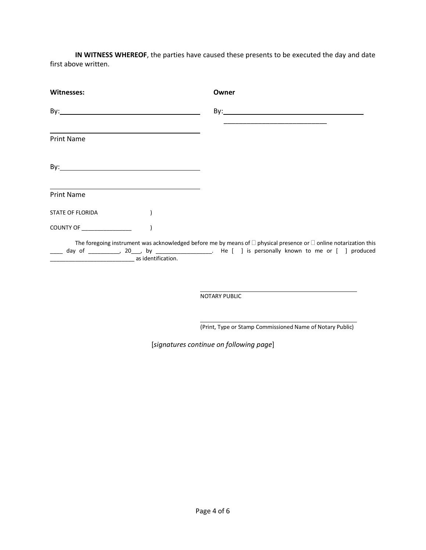**IN WITNESS WHEREOF**, the parties have caused these presents to be executed the day and date first above written.

| Witnesses:                                            |                    | Owner                                                                                                                                                                                                                            |
|-------------------------------------------------------|--------------------|----------------------------------------------------------------------------------------------------------------------------------------------------------------------------------------------------------------------------------|
|                                                       |                    | <u> 1989 - Johann John Stone, mars et al. (1989)</u>                                                                                                                                                                             |
| <b>Print Name</b>                                     |                    |                                                                                                                                                                                                                                  |
|                                                       |                    |                                                                                                                                                                                                                                  |
| <b>Print Name</b>                                     |                    |                                                                                                                                                                                                                                  |
| STATE OF FLORIDA                                      |                    |                                                                                                                                                                                                                                  |
| COUNTY OF <b>COUNTY OF</b>                            |                    |                                                                                                                                                                                                                                  |
| <u> 1989 - Johann John Harry Hermes, fransk konge</u> | as identification. | The foregoing instrument was acknowledged before me by means of $\Box$ physical presence or $\Box$ online notarization this<br>day of __________, 20___, by __________________. He [ ] is personally known to me or [ ] produced |

NOTARY PUBLIC

(Print, Type or Stamp Commissioned Name of Notary Public)

[*signatures continue on following page*]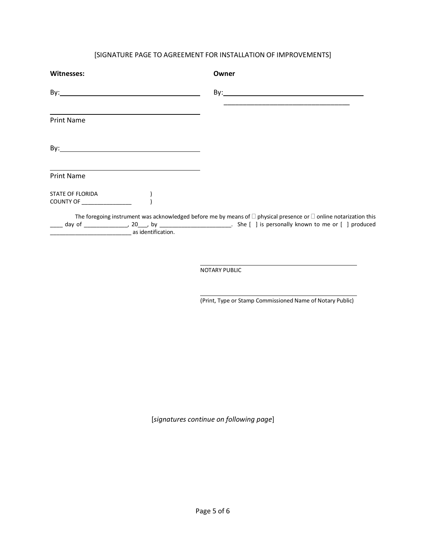## [SIGNATURE PAGE TO AGREEMENT FOR INSTALLATION OF IMPROVEMENTS]

| <b>Witnesses:</b>                              |                                                                                                                                                                                                                               | Owner                                                                                                                       |
|------------------------------------------------|-------------------------------------------------------------------------------------------------------------------------------------------------------------------------------------------------------------------------------|-----------------------------------------------------------------------------------------------------------------------------|
|                                                |                                                                                                                                                                                                                               | $\mathsf{By:}\n \overline{\phantom{aa}}$                                                                                    |
| <b>Print Name</b>                              |                                                                                                                                                                                                                               |                                                                                                                             |
|                                                |                                                                                                                                                                                                                               |                                                                                                                             |
| <b>Print Name</b>                              | the control of the control of the control of the control of the control of the control of the control of the control of the control of the control of the control of the control of the control of the control of the control |                                                                                                                             |
| STATE OF FLORIDA<br>COUNTY OF ________________ |                                                                                                                                                                                                                               |                                                                                                                             |
| as identification.                             |                                                                                                                                                                                                                               | The foregoing instrument was acknowledged before me by means of $\Box$ physical presence or $\Box$ online notarization this |

NOTARY PUBLIC

(Print, Type or Stamp Commissioned Name of Notary Public)

[*signatures continue on following page*]